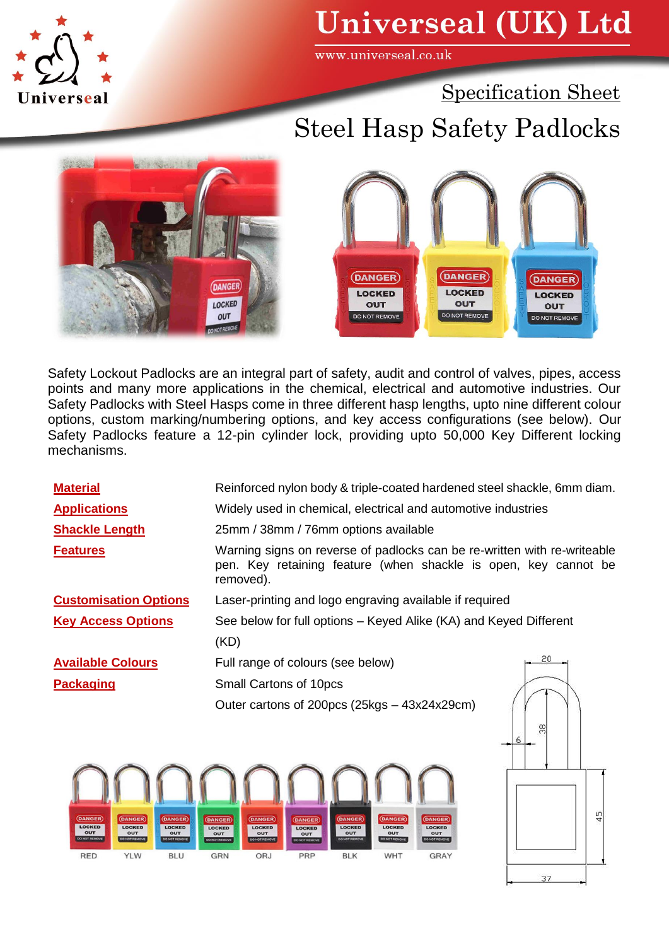

## **Universeal (UK) Ltd**

www.universeal.co.uk

Specification Sheet

## Steel Hasp Safety Padlocks





Safety Lockout Padlocks are an integral part of safety, audit and control of valves, pipes, access points and many more applications in the chemical, electrical and automotive industries. Our Safety Padlocks with Steel Hasps come in three different hasp lengths, upto nine different colour options, custom marking/numbering options, and key access configurations (see below). Our Safety Padlocks feature a 12-pin cylinder lock, providing upto 50,000 Key Different locking mechanisms.

| <b>Material</b>              | Reinforced nylon body & triple-coated hardened steel shackle, 6mm diam.                                                                                  |
|------------------------------|----------------------------------------------------------------------------------------------------------------------------------------------------------|
| <b>Applications</b>          | Widely used in chemical, electrical and automotive industries                                                                                            |
| <b>Shackle Length</b>        | 25mm / 38mm / 76mm options available                                                                                                                     |
| <b>Features</b>              | Warning signs on reverse of padlocks can be re-written with re-writeable<br>pen. Key retaining feature (when shackle is open, key cannot be<br>removed). |
| <b>Customisation Options</b> | Laser-printing and logo engraving available if required                                                                                                  |
| <b>Key Access Options</b>    | See below for full options – Keyed Alike (KA) and Keyed Different                                                                                        |
|                              | (KD)                                                                                                                                                     |
| <b>Available Colours</b>     | 20<br>Full range of colours (see below)                                                                                                                  |
| <b>Packaging</b>             | Small Cartons of 10pcs                                                                                                                                   |
|                              | Outer cartons of 200pcs (25kgs - 43x24x29cm)                                                                                                             |